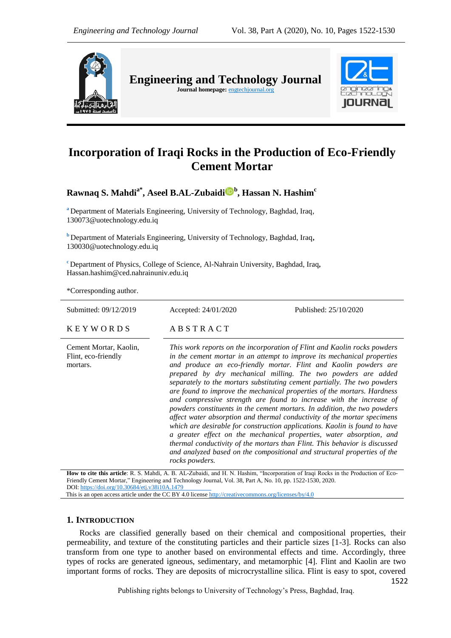

**Engineering and Technology Journal** 

Journal homepage: **engtechjournal.org** 



# **Incorporation of Iraqi Rocks in the Production of Eco-Friendly Cement Mortar**

**Rawnaq S. Mahdia\*, Aseel B.AL-Zubaid[i](https://orcid.org/0000-0003-0864-1024) <sup>b</sup> , Hassan N. Hashim<sup>c</sup>**

**<sup>a</sup>** Department of Materials Engineering, University of Technology, Baghdad, Iraq, 130073@uotechnology.edu.iq

**<sup>b</sup>** Department of Materials Engineering, University of Technology, Baghdad, Iraq**,**  130030@uotechnology.edu.iq

**<sup>c</sup>** Department of Physics, College of Science, Al-Nahrain University, Baghdad, Iraq**,** Hassan.hashim@ced.nahrainuniv.edu.iq

\*Corresponding author.

| Submitted: 09/12/2019                                     | Accepted: 24/01/2020                                                                                                                                                                                                                                                                                                                                                                                                                                                                                                                                                                                                                                                                                                                                                                                                                                                                                                                                                                                             | Published: 25/10/2020 |
|-----------------------------------------------------------|------------------------------------------------------------------------------------------------------------------------------------------------------------------------------------------------------------------------------------------------------------------------------------------------------------------------------------------------------------------------------------------------------------------------------------------------------------------------------------------------------------------------------------------------------------------------------------------------------------------------------------------------------------------------------------------------------------------------------------------------------------------------------------------------------------------------------------------------------------------------------------------------------------------------------------------------------------------------------------------------------------------|-----------------------|
| <b>KEYWORDS</b>                                           | ABSTRACT                                                                                                                                                                                                                                                                                                                                                                                                                                                                                                                                                                                                                                                                                                                                                                                                                                                                                                                                                                                                         |                       |
| Cement Mortar, Kaolin,<br>Flint, eco-friendly<br>mortars. | This work reports on the incorporation of Flint and Kaolin rocks powders<br>in the cement mortar in an attempt to improve its mechanical properties<br>and produce an eco-friendly mortar. Flint and Kaolin powders are<br>prepared by dry mechanical milling. The two powders are added<br>separately to the mortars substituting cement partially. The two powders<br>are found to improve the mechanical properties of the mortars. Hardness<br>and compressive strength are found to increase with the increase of<br>powders constituents in the cement mortars. In addition, the two powders<br>affect water absorption and thermal conductivity of the mortar specimens<br>which are desirable for construction applications. Kaolin is found to have<br>a greater effect on the mechanical properties, water absorption, and<br>thermal conductivity of the mortars than Flint. This behavior is discussed<br>and analyzed based on the compositional and structural properties of the<br>rocks powders. |                       |

**How to cite this article**: R. S. Mahdi, A. B. AL-Zubaidi, and H. N. Hashim, "Incorporation of Iraqi Rocks in the Production of Eco-Friendly Cement Mortar," Engineering and Technology Journal, Vol. 38, Part A, No. 10, pp. 1522-1530, 2020. DOI: <https://doi.org/10.30684/etj.v38i10A.1479>

This is an open access article under the CC BY 4.0 licens[e http://creativecommons.org/licenses/by/4.0](http://creativecommons.org/licenses/by/4.0)

# **1. INTRODUCTION**

Rocks are classified generally based on their chemical and compositional properties, their permeability, and texture of the constituting particles and their particle sizes [1-3]. Rocks can also transform from one type to another based on environmental effects and time. Accordingly, three types of rocks are generated igneous, sedimentary, and metamorphic [4]. Flint and Kaolin are two important forms of rocks. They are deposits of microcrystalline silica. Flint is easy to spot, covered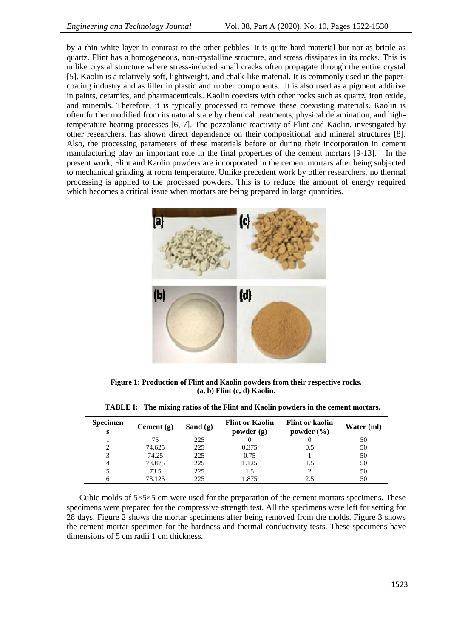by a thin white layer in contrast to the other pebbles. It is quite hard material but not as brittle as quartz. Flint has a homogeneous, non-crystalline structure, and stress dissipates in its rocks. This is unlike crystal structure where stress-induced small cracks often propagate through the entire crystal [5]. Kaolin is a relatively soft, lightweight, and chalk-like material. It is commonly used in the papercoating industry and as filler in plastic and rubber components. It is also used as a pigment additive in paints, ceramics, and pharmaceuticals. Kaolin coexists with other rocks such as quartz, iron oxide, and minerals. Therefore, it is typically processed to remove these coexisting materials. Kaolin is often further modified from its natural state by chemical treatments, physical delamination, and hightemperature heating processes [6, 7]. The pozzolanic reactivity of Flint and Kaolin, investigated by other researchers, has shown direct dependence on their compositional and mineral structures [8]. Also, the processing parameters of these materials before or during their incorporation in cement manufacturing play an important role in the final properties of the cement mortars [9-13]. In the present work, Flint and Kaolin powders are incorporated in the cement mortars after being subjected to mechanical grinding at room temperature. Unlike precedent work by other researchers, no thermal processing is applied to the processed powders. This is to reduce the amount of energy required which becomes a critical issue when mortars are being prepared in large quantities.



**Figure 1: Production of Flint and Kaolin powders from their respective rocks. (a, b) Flint (c, d) Kaolin.**

| <b>Specimen</b> | Cement $(g)$ | Sand $(g)$ | <b>Flint or Kaolin</b><br>powder(g) | <b>Flint or kaolin</b><br>powder $(\% )$ | Water (ml) |
|-----------------|--------------|------------|-------------------------------------|------------------------------------------|------------|
|                 | 75           | 225        |                                     |                                          | 50         |
|                 | 74.625       | 225        | 0.375                               | 0.5                                      | 50         |
|                 | 74.25        | 225        | 0.75                                |                                          | 50         |
|                 | 73.875       | 225        | 1.125                               |                                          | 50         |
|                 | 73.5         | 225        | 1.5                                 |                                          | 50         |
|                 | 73.125       | 225        | .875                                | 2.5                                      | 50         |

**TABLE I: The mixing ratios of the Flint and Kaolin powders in the cement mortars.**

Cubic molds of  $5\times5\times5$  cm were used for the preparation of the cement mortars specimens. These specimens were prepared for the compressive strength test. All the specimens were left for setting for 28 days. Figure 2 shows the mortar specimens after being removed from the molds. Figure 3 shows the cement mortar specimen for the hardness and thermal conductivity tests. These specimens have dimensions of 5 cm radii 1 cm thickness.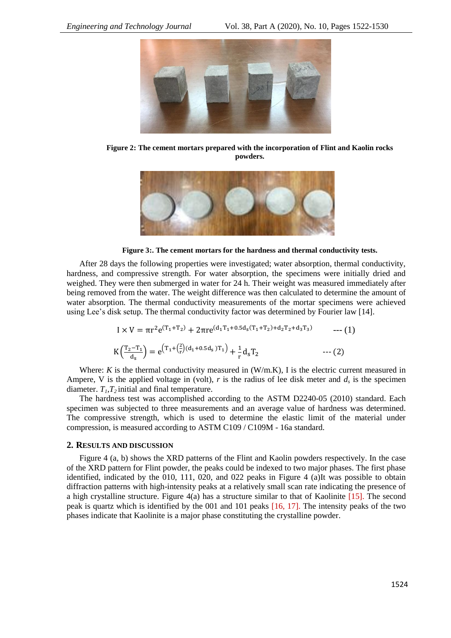

**Figure 2: The cement mortars prepared with the incorporation of Flint and Kaolin rocks powders.**



**Figure 3:. The cement mortars for the hardness and thermal conductivity tests.**

After 28 days the following properties were investigated; water absorption, thermal conductivity, hardness, and compressive strength. For water absorption, the specimens were initially dried and weighed. They were then submerged in water for 24 h. Their weight was measured immediately after being removed from the water. The weight difference was then calculated to determine the amount of water absorption. The thermal conductivity measurements of the mortar specimens were achieved using Lee's disk setup. The thermal conductivity factor was determined by Fourier law [14].

$$
I \times V = \pi r^2 e^{(T_1 + T_2)} + 2\pi r e^{(d_1 T_1 + 0.5d_S(T_1 + T_2) + d_2 T_2 + d_3 T_3)} \qquad \qquad \text{--- (1)}
$$
  

$$
K\left(\frac{T_2 - T_1}{d_S}\right) = e^{\left(T_1 + \left(\frac{2}{r}\right)(d_1 + 0.5d_S)T_1\right)} + \frac{1}{r}d_S T_2 \qquad \qquad \text{--- (2)}
$$

Where:  $K$  is the thermal conductivity measured in  $(W/m,K)$ , I is the electric current measured in Ampere, V is the applied voltage in (volt),  $r$  is the radius of lee disk meter and  $d_s$  is the specimen diameter.  $T_1, T_2$  initial and final temperature.

The hardness test was accomplished according to the ASTM D2240-05 (2010) standard. Each specimen was subjected to three measurements and an average value of hardness was determined. The compressive strength, which is used to determine the elastic limit of the material under compression, is measured according to ASTM C109 / C109M - 16a standard.

### **2. RESULTS AND DISCUSSION**

Figure 4 (a, b) shows the XRD patterns of the Flint and Kaolin powders respectively. In the case of the XRD pattern for Flint powder, the peaks could be indexed to two major phases. The first phase identified, indicated by the 010, 111, 020, and 022 peaks in Figure 4 (a)It was possible to obtain diffraction patterns with high-intensity peaks at a relatively small scan rate indicating the presence of a high crystalline structure. Figure 4(a) has a structure similar to that of Kaolinite [15]. The second peak is quartz which is identified by the 001 and 101 peaks [16, 17]. The intensity peaks of the two phases indicate that Kaolinite is a major phase constituting the crystalline powder.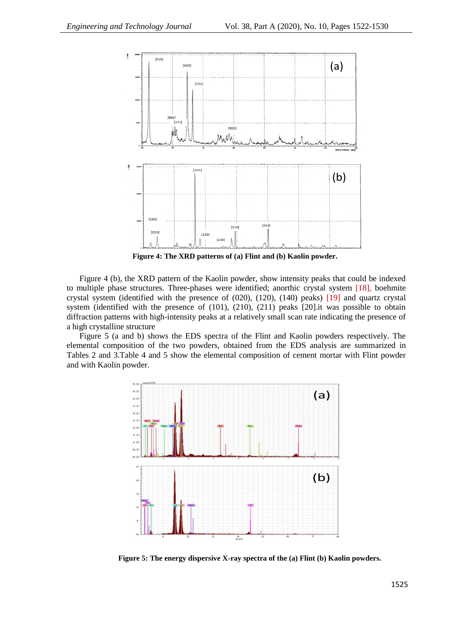

**Figure 4: The XRD patterns of (a) Flint and (b) Kaolin powder.**

Figure 4 (b), the XRD pattern of the Kaolin powder, show intensity peaks that could be indexed to multiple phase structures. Three-phases were identified; anorthic crystal system [18], boehmite crystal system (identified with the presence of (020), (120), (140) peaks) [19] and quartz crystal system (identified with the presence of (101), (210), (211) peaks [20].it was possible to obtain diffraction patterns with high-intensity peaks at a relatively small scan rate indicating the presence of a high crystalline structure

Figure 5 (a and b) shows the EDS spectra of the Flint and Kaolin powders respectively. The elemental composition of the two powders, obtained from the EDS analysis are summarized in Tables 2 and 3.Table 4 and 5 show the elemental composition of cement mortar with Flint powder and with Kaolin powder.



**Figure 5: The energy dispersive X-ray spectra of the (a) Flint (b) Kaolin powders.**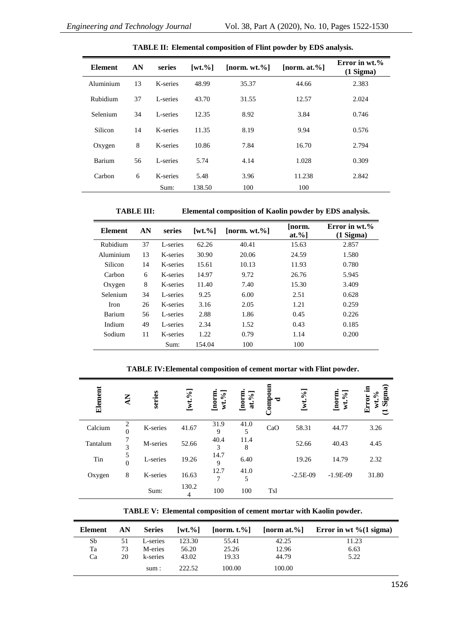j.

| <b>Element</b> | AN | series   | $\lceil wt. \% \rceil$ | [norm. $wt. \%$ ] | [norm. at. $%$ ] | Error in wt.%<br>$(1$ Sigma $)$ |
|----------------|----|----------|------------------------|-------------------|------------------|---------------------------------|
| Aluminium      | 13 | K-series | 48.99                  | 35.37             | 44.66            | 2.383                           |
| Rubidium       | 37 | L-series | 43.70                  | 31.55             | 12.57            | 2.024                           |
| Selenium       | 34 | L-series | 12.35                  | 8.92              | 3.84             | 0.746                           |
| Silicon        | 14 | K-series | 11.35                  | 8.19              | 9.94             | 0.576                           |
| Oxygen         | 8  | K-series | 10.86                  | 7.84              | 16.70            | 2.794                           |
| Barium         | 56 | L-series | 5.74                   | 4.14              | 1.028            | 0.309                           |
| Carbon         | 6  | K-series | 5.48                   | 3.96              | 11.238           | 2.842                           |
|                |    | Sum:     | 138.50                 | 100               | 100              |                                 |

**TABLE II: Elemental composition of Flint powder by EDS analysis.**

**TABLE III: Elemental composition of Kaolin powder by EDS analysis.**

| <b>Element</b> | AN | series   | $\lceil wt. \% \rceil$ | $[norm, wt.$ %] | [norm.<br>$at. \%$ ] | Error in wt.%<br>$(1$ Sigma $)$ |
|----------------|----|----------|------------------------|-----------------|----------------------|---------------------------------|
| Rubidium       | 37 | L-series | 62.26                  | 40.41           | 15.63                | 2.857                           |
| Aluminium      | 13 | K-series | 30.90                  | 20.06           | 24.59                | 1.580                           |
| Silicon        | 14 | K-series | 15.61                  | 10.13           | 11.93                | 0.780                           |
| Carbon         | 6  | K-series | 14.97                  | 9.72            | 26.76                | 5.945                           |
| Oxygen         | 8  | K-series | 11.40                  | 7.40            | 15.30                | 3.409                           |
| Selenium       | 34 | L-series | 9.25                   | 6.00            | 2.51                 | 0.628                           |
| <b>Iron</b>    | 26 | K-series | 3.16                   | 2.05            | 1.21                 | 0.259                           |
| Barium         | 56 | L-series | 2.88                   | 1.86            | 0.45                 | 0.226                           |
| Indium         | 49 | L-series | 2.34                   | 1.52            | 0.43                 | 0.185                           |
| Sodium         | 11 | K-series | 1.22                   | 0.79            | 1.14                 | 0.200                           |
|                |    | Sum:     | 154.04                 | 100             | 100                  |                                 |

## **TABLE IV:Elemental composition of cement mortar with Flint powder.**

| Element  | $\sum_{i=1}^{n}$           | series   | $[wt. \%]$ | $wt$ .%]<br>[norm | $[\text{norm}]\text{at.}\%$ | Componn<br>$\overline{\phantom{a}}$ | $\mathbf{e}_{\lambda}$<br>[wt. | [norm.<br>$wt. \%$ | Sigma)<br>.크<br>Error<br>≳<br>ರ |
|----------|----------------------------|----------|------------|-------------------|-----------------------------|-------------------------------------|--------------------------------|--------------------|---------------------------------|
| Calcium  | $\overline{c}$<br>$\theta$ | K-series | 41.67      | 31.9<br>9         | 41.0<br>5                   | CaO                                 | 58.31                          | 44.77              | 3.26                            |
| Tantalum | 3                          | M-series | 52.66      | 40.4<br>3         | 11.4<br>8                   |                                     | 52.66                          | 40.43              | 4.45                            |
| Tin      | 5<br>$\theta$              | L-series | 19.26      | 14.7<br>9         | 6.40                        |                                     | 19.26                          | 14.79              | 2.32                            |
| Oxygen   | 8                          | K-series | 16.63      | 12.7<br>7         | 41.0<br>5                   |                                     | $-2.5E-09$                     | $-1.9E-09$         | 31.80                           |
|          |                            | Sum:     | 130.2<br>4 | 100               | 100                         | <b>Tsl</b>                          |                                |                    |                                 |

**TABLE V: Elemental composition of cement mortar with Kaolin powder.**

| Element | AN | <b>Series</b> | $\lceil wt. \% \rceil$ | $[$ norm. t. $\%]$ |        | [norm at.%] Error in wt % $(1 \text{ sigma})$ |
|---------|----|---------------|------------------------|--------------------|--------|-----------------------------------------------|
| Sb      | 51 | L-series      | 123.30                 | 55.41              | 42.25  | 11.23                                         |
| Ta      | 73 | M-eries       | 56.20                  | 25.26              | 12.96  | 6.63                                          |
| Ca      | 20 | k-series      | 43.02                  | 19.33              | 44.79  | 5.22                                          |
|         |    | sum:          | 222.52                 | 100.00             | 100.00 |                                               |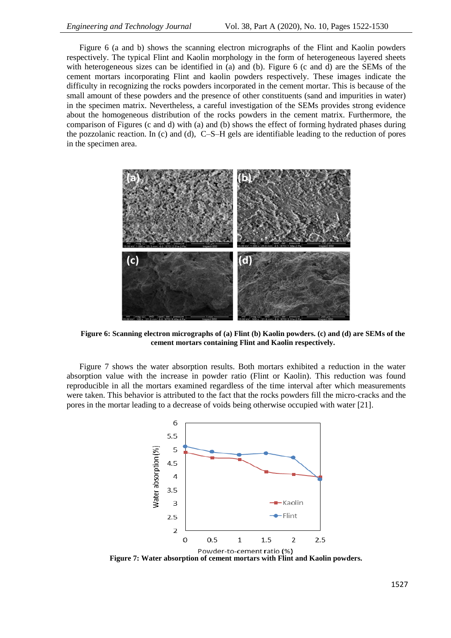Figure 6 (a and b) shows the scanning electron micrographs of the Flint and Kaolin powders respectively. The typical Flint and Kaolin morphology in the form of heterogeneous layered sheets with heterogeneous sizes can be identified in (a) and (b). Figure 6 (c and d) are the SEMs of the cement mortars incorporating Flint and kaolin powders respectively. These images indicate the difficulty in recognizing the rocks powders incorporated in the cement mortar. This is because of the small amount of these powders and the presence of other constituents (sand and impurities in water) in the specimen matrix. Nevertheless, a careful investigation of the SEMs provides strong evidence about the homogeneous distribution of the rocks powders in the cement matrix. Furthermore, the comparison of Figures (c and d) with (a) and (b) shows the effect of forming hydrated phases during the pozzolanic reaction. In (c) and (d), C–S–H gels are identifiable leading to the reduction of pores in the specimen area.



**Figure 6: Scanning electron micrographs of (a) Flint (b) Kaolin powders. (c) and (d) are SEMs of the cement mortars containing Flint and Kaolin respectively.**

Figure 7 shows the water absorption results. Both mortars exhibited a reduction in the water absorption value with the increase in powder ratio (Flint or Kaolin). This reduction was found reproducible in all the mortars examined regardless of the time interval after which measurements were taken. This behavior is attributed to the fact that the rocks powders fill the micro-cracks and the pores in the mortar leading to a decrease of voids being otherwise occupied with water [21].



**Figure 7: Water absorption of cement mortars with Flint and Kaolin powders.**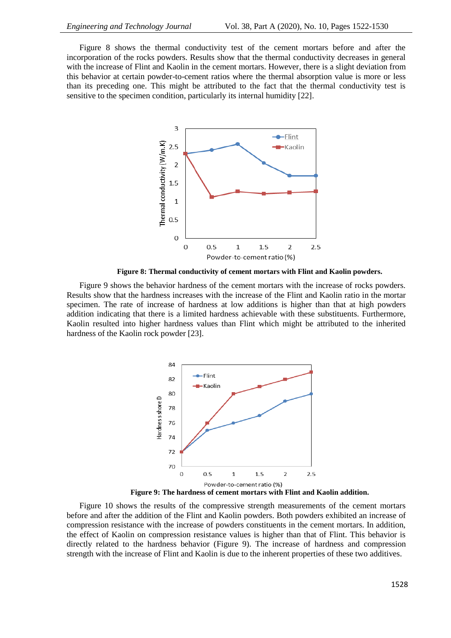Figure 8 shows the thermal conductivity test of the cement mortars before and after the incorporation of the rocks powders. Results show that the thermal conductivity decreases in general with the increase of Flint and Kaolin in the cement mortars. However, there is a slight deviation from this behavior at certain powder-to-cement ratios where the thermal absorption value is more or less than its preceding one. This might be attributed to the fact that the thermal conductivity test is sensitive to the specimen condition, particularly its internal humidity [22].



**Figure 8: Thermal conductivity of cement mortars with Flint and Kaolin powders.**

Figure 9 shows the behavior hardness of the cement mortars with the increase of rocks powders. Results show that the hardness increases with the increase of the Flint and Kaolin ratio in the mortar specimen. The rate of increase of hardness at low additions is higher than that at high powders addition indicating that there is a limited hardness achievable with these substituents. Furthermore, Kaolin resulted into higher hardness values than Flint which might be attributed to the inherited hardness of the Kaolin rock powder [23].



**Figure 9: The hardness of cement mortars with Flint and Kaolin addition.**

Figure 10 shows the results of the compressive strength measurements of the cement mortars before and after the addition of the Flint and Kaolin powders. Both powders exhibited an increase of compression resistance with the increase of powders constituents in the cement mortars. In addition, the effect of Kaolin on compression resistance values is higher than that of Flint. This behavior is directly related to the hardness behavior (Figure 9). The increase of hardness and compression strength with the increase of Flint and Kaolin is due to the inherent properties of these two additives.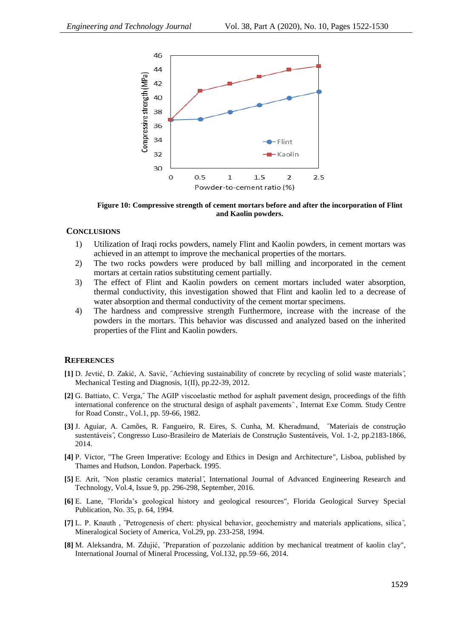

**Figure 10: Compressive strength of cement mortars before and after the incorporation of Flint and Kaolin powders.**

#### **CONCLUSIONS**

- 1) Utilization of Iraqi rocks powders, namely Flint and Kaolin powders, in cement mortars was achieved in an attempt to improve the mechanical properties of the mortars.
- 2) The two rocks powders were produced by ball milling and incorporated in the cement mortars at certain ratios substituting cement partially.
- 3) The effect of Flint and Kaolin powders on cement mortars included water absorption, thermal conductivity, this investigation showed that Flint and kaolin led to a decrease of water absorption and thermal conductivity of the cement mortar specimens.
- 4) The hardness and compressive strength Furthermore, increase with the increase of the powders in the mortars. This behavior was discussed and analyzed based on the inherited properties of the Flint and Kaolin powders.

#### **REFERENCES**

- **[1]** D. Jevtić, D. Zakić, A. Savić, ˝Achieving sustainability of concrete by recycling of solid waste materials , Mechanical Testing and Diagnosis, 1(II), pp.22-39, 2012.
- **[2]** G. Battiato, C. Verga,˝ The AGIP viscoelastic method for asphalt pavement design, proceedings of the fifth international conference on the structural design of asphalt pavements", Internat Exe Comm. Study Centre for Road Constr., Vol.1, pp. 59-66, 1982.
- **[3]** J. Aguiar, A. Camões, R. Fangueiro, R. Eires, S. Cunha, M. Kheradmand, ˝Materiais de construção sustentáveis , Congresso Luso-Brasileiro de Materiais de Construção Sustentáveis, Vol. 1-2, pp.2183-1866, 2014.
- **[4]** P. Victor, "The Green Imperative: Ecology and Ethics in Design and Architecture", Lisboa, published by Thames and Hudson, London. Paperback. 1995.
- [5] E. Arit, <sup>"Non</sup> plastic ceramics material", International Journal of Advanced Engineering Research and Technology, Vol.4, Issue 9, pp. 296-298, September, 2016.
- **[6]** E. Lane, ˝Florida's geological history and geological resources", Florida Geological Survey Special Publication, No. 35, p. 64, 1994.
- [7] L. P. Knauth, <sup>*T*</sup> Petrogenesis of chert: physical behavior, geochemistry and materials applications, silica *i*, Mineralogical Society of America, Vol.29, pp. 233-258, 1994.
- **[8]** M. Aleksandra, M. Zdujić, ˝Preparation of pozzolanic addition by mechanical treatment of kaolin clay", International Journal of Mineral Processing, Vol.132, pp.59–66, 2014.